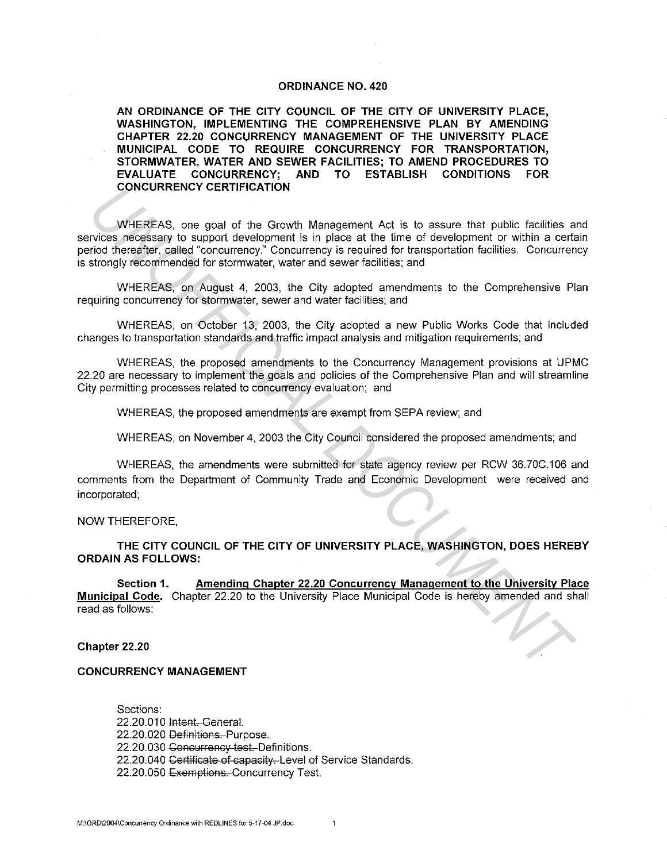#### **ORDINANCE NO. 420**

**AN ORDINANCE OF THE CITY COUNCIL OF THE CITY OF UNIVERSITY PLACE, WASHINGTON, IMPLEMENTING THE COMPREHENSIVE PLAN BY AMENDING CHAPTER 22.20 CONCURRENCY MANAGEMENT OF THE UNIVERSITY PLACE MUNICIPAL CODE TO REQUIRE CONCURRENCY FOR TRANSPORTATION, STORMWATER, WATER AND SEWER FACILITIES; TO AMEND PROCEDURES TO EVALUATE CONCURRENCY; AND TO ESTABLISH CONDITIONS FOR CONCURRENCY CERTIFICATION** 

WHEREAS, one goal of the Growth Management Act is to assure that public facilities and services necessary to support development is in place at the time of development or within a certain period thereafter, called "concurrency." Concurrency is required for transportation facilities. Concurrency is strongly recommended for stormwater, water and sewer facilities; and **UNCEREAS, one goal of the Growth Management Act is to essure that public facilities and<br>
invices meckeskany to support development is in place at the time of development or within a cert<br>
invice the example of contempts,** 

WHEREAS, on August 4, 2003, the City adopted amendments to the Comprehensive Plan requiring concurrency for stormwater, sewer and water facilities; and

WHEREAS, on October 13, 2003, the City adopted a new Public Works Code that included changes to transportation standards and traffic impact analysis and mitigation requirements; and

WHEREAS, the proposed amendments to the Concurrency Management provisions at UPMC 22.20 are necessary to implement the goals and policies of the Comprehensive Plan and will streamline City permitting processes related to concurrency evaluation; and

WHEREAS, the proposed amendments are exempt from SEPA review; and

WHEREAS, on November 4, 2003 the City Council considered the proposed amendments; and

WHEREAS, the amendments were submitted for state agency review per RCW 36. 70C.106 and comments from the Department of Community Trade and Economic Development were received and incorporated;

NOW THEREFORE,

**THE CITY COUNCIL OF THE CITY OF UNIVERSITY PLACE, WASHINGTON, DOES HEREBY ORDAIN AS FOLLOWS:** 

**Section 1. Amending Chapter 22.20 Concurrency Management to the University Place Municipal Code.** Chapter 22.20 to the University Place Municipal Code is hereby amended and shall read as follows:

### **Chapter 22.20**

# **CONCURRENCY MANAGEMENT**

Sections: 22.20.010 Intent.-General. 22.20.020 Definitions. Purpose. 22.20.030 Concurrency test. Definitions. 22.20.040 Certificate of capacity. Level of Service Standards. 22.20.050 Exemptions. Concurrency Test.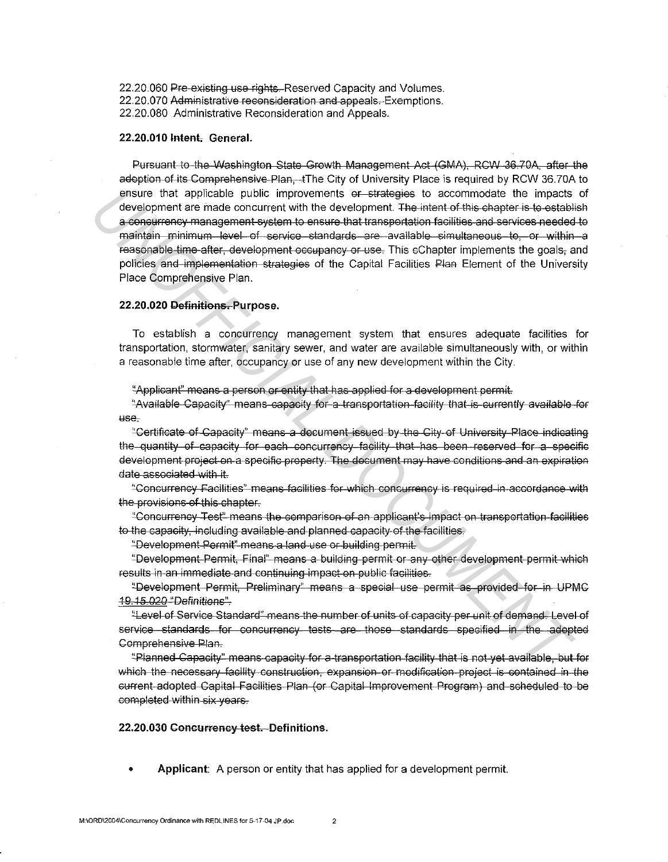22.20.060 Pre-existing use rights. Reserved Capacity and Volumes. 22.20.070 Administrative reconsideration and appeals. Exemptions. 22.20.080 Administrative Reconsideration and Appeals.

# 22.20.010 Intent. General.

Pursuant to the Washington State Growth Management Act (GMA), RCW 36.70A, after the adoption of its Comprehensive Plan, The City of University Place is required by RCW 36.70A to ensure that applicable public improvements or strategies to accommodate the impacts of development are made concurrent with the development. The intent of this chapter is to establish a concurrency management system to ensure that transportation facilities and services needed to maintain minimum level of service standards are available simultaneous to, or within a reasonable time after, development occupancy or use. This cChapter implements the goals, and policies and implementation strategies of the Capital Facilities Plan Element of the University Place Comprehensive Plan.

## 22.20.020 Definitions, Purpose.

To establish a concurrency management system that ensures adequate facilities for transportation, stormwater, sanitary sewer, and water are available simultaneously with, or within a reasonable time after, occupancy or use of any new development within the City.

"Applicant" means a person or entity that has applied for a development permit.

"Available Capacity" means capacity for a transportation facility that is currently available for use.

"Certificate of Capacity" means a document issued by the City of University Place indicating the quantity of capacity for each concurrency facility that has been reserved for a specific development project on a specific property. The document may have conditions and an expiration date associated with it.

"Concurrency Facilities" means facilities for which concurrency is required in accordance with the provisions of this chapter.

"Concurrency Test" means the comparison of an applicant's impact on transportation facilities to the capacity, including available and planned capacity of the facilities.

"Development Permit" means a land use or building permit.

"Development Permit, Final" means a building permit or any other development permit which results in an immediate and continuing impact on public facilities.

"Development Permit, Preliminary" means a special use permit as provided for in UPMC 19.15.020 "Definitions"

"Level of Service Standard" means the number of units of capacity per unit of demand. Level of service standards for concurrency tests are those standards specified in the adopted Comprehensive Plan.

"Planned Capacity" means capacity for a transportation facility that is not yet available, but for which the necessary facility construction, expansion or modification project is contained in the current adopted Capital Facilities Plan (or Capital Improvement Program) and scheduled to be completed within six years.

### 22.20.030 Concurrency test. Definitions.

Applicant: A person or entity that has applied for a development permit.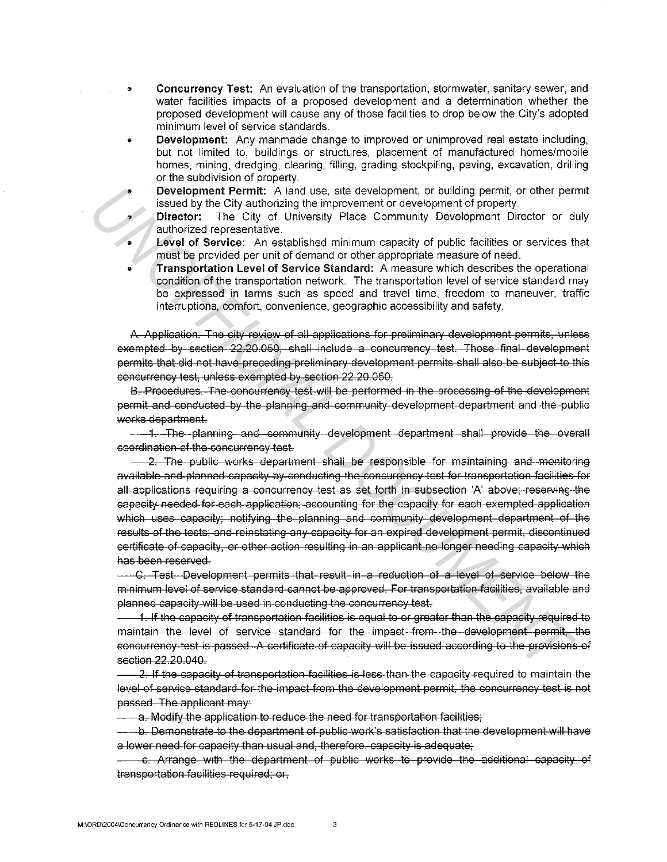- Concurrency Test: An evaluation of the transportation, stormwater, sanitary sewer, and water facilities impacts of a proposed development and a determination whether the proposed development will cause any of those facilities to drop below the City's adopted minimum level of service standards.
- Development: Any manmade change to improved or unimproved real estate including, but not limited to, buildings or structures, placement of manufactured homes/mobile homes, mining, dredging, clearing, filling, grading stockpiling, paving, excavation, drilling or the subdivision of property.
	- Development Permit: A land use, site development, or building permit, or other permit issued by the City authorizing the improvement or development of property.
- **Director:** The City of University Place Community Development Director or duly authorized representative.
- **Level of Service:** An established minimum capacity of public facilities or services that must be provided per unit of demand or other appropriate measure of need.
- Transportation Level of Service Standard: A measure which describes the operational condition of the transportation network. The transportation level of service standard may be expressed in terms such as speed and travel time, freedom to maneuver, traffic interruptions, comfort, convenience, geographic accessibility and safety.

A. Application. The city review of all applications for preliminary development permits, unless exempted by section 22.20.050, shall include a concurrency test. Those final development permits that did not have-preceding preliminary development permits shall also be subject to this concurrency test, unless exempted by section 22.20.050.

B. Procedures. The concurrency test will be performed in the processing of the development permit and conducted by the planning and community-development department and the public works department.

1. The planning and community development department shall provide the overall coordination of the concurrency test.

2. The public works department shall be responsible for maintaining and monitoring available and planned capacity by conducting the concurrency test for transportation facilities for all applications requiring a concurrency test as set forth in subsection 'A' above; reserving the capacity needed for each application; accounting for the capacity for each exempted application which uses capacity; notifying the planning and community development department of the results of the tests; and reinstating any capacity for an expired development permit, discontinued certificate of capacity, or other action resulting in an applicant no longer needing capacity-which has been reserved. **Providenment Permit:** A had use, sid elselenment, or bluiding permit, or other permits and the section of the community Development of property,<br> **UNOFFICIAL DOCUMENT PROPERTY**<br> **UNOFFICIAL DOCUMENT PROPERTY**<br> **UNOFFICIAL** 

C. Test. Development permits that result in a reduction of a level of service below the minimum level of service standard cannot be approved. for transportation facilities, available and planned capacity will be used in conducting the concurrency test.

1. If the capacity of transportation facilities is equal to or greater than the capacity required to maintain the level of service standard for the impact from the development permit, the concurrency test is passed. A certificate of capacity will be issued according to the previsions of section 22.20.040.

2. If the capacity of transportation facilities is less than the capacity required to maintain the level of service standard for the impact from the development permit, the concurrency test is not passed. The applicant may:

a. Modify the application to reduce the need for transportation facilities;

b. Demonstrate to the department of public work's satisfaction that the development will have a lower need for capacity than usual and, therefore, capacity is adequate;

c. Arrange with the department of public works to provide the additional capacity el transportation facilities required; or,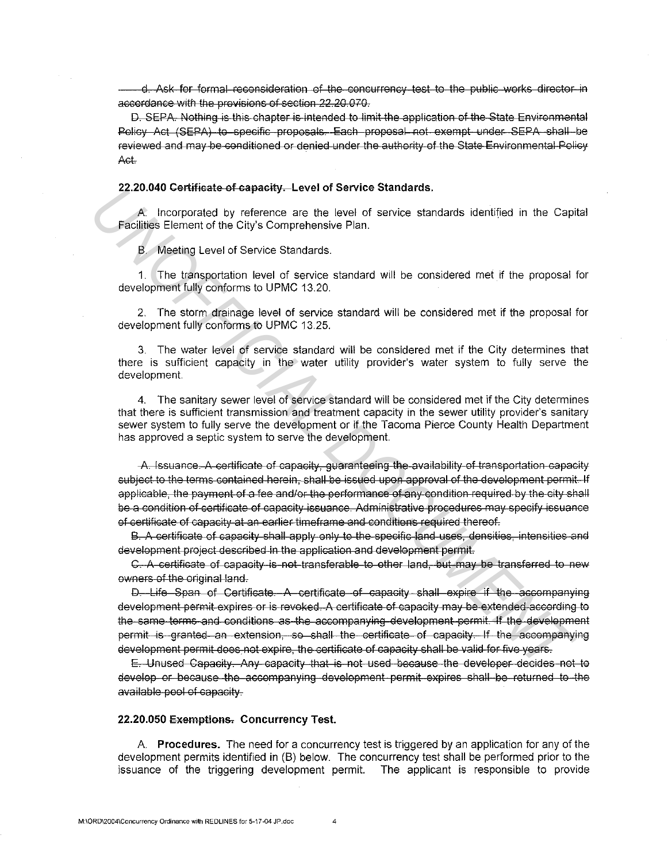d. Ask for formal reconsideration of the concurrency test to the public works director in accordance with the provisions of section 22.20.070.

D. SEPA. Nothing is this chapter is intended to limit the application of the State Environmental Policy Act (SEPA) to specific proposals. Each proposal not exempt under SEPA shall be reviewed and may be conditioned or denied under the authority of the State Environmental Policy  $Act.$ 

### 22.20.040 Certificate of capacity. Level of Service Standards.

A. Incorporated by reference are the level of service standards identified in the Capital Facilities Element of the City's Comprehensive Plan.

B. Meeting Level of Service Standards.

1. The transportation level of service standard will be considered met if the proposal for development fully conforms to UPMC 13.20.

2. The storm drainage level of service standard will be considered met if the proposal for development fully conforms to UPMC 13.25.

3. The water level of service standard will be considered met if the City determines that there is sufficient capacity in the water utility provider's water system to fully serve the development.

4. The sanitary sewer level of service standard will be considered met if the City determines that there is sufficient transmission and treatment capacity in the sewer utility provider's sanitary sewer system to fully serve the development or if the Tacoma Pierce County Health Department has approved a septic system to serve the development.

-A. Issuance. A certificate of capacity, guaranteeing the availability of transportation capacity subject to the terms contained herein, shall be issued upon approval of the development permit. If applicable, the payment of a fee and/or the performance of any condition required by the city shall be a condition of certificate of capacity issuance. Administrative procedures may specify issuance of certificate of capacity at an earlier timeframe and conditions required thereof.

B. A certificate of capacity shall apply only to the specific land uses, densities, intensities and development project described in the application and development permit.

C. A certificate of capacity is not transferable to other land, but may be transferred to new owners of the original land.

D. Life Span of Certificate. A certificate of capacity shall expire if the accompanying development permit expires or is revoked. A certificate of capacity may be extended according to the same terms and conditions as the accompanying development permit. If the development permit is granted an extension, so shall the certificate of capacity. If the accompanying development permit does not expire, the certificate of capacity shall be valid for five years.

E. Unused Capacity. Any capacity that is not used because the developer decides not to develop or because the accompanying development permit expires shall be returned to the available pool of capacity.

## 22.20.050 Exemptions. Concurrency Test.

A. Procedures. The need for a concurrency test is triggered by an application for any of the development permits identified in (B) below. The concurrency test shall be performed prior to the issuance of the triggering development permit. The applicant is responsible to provide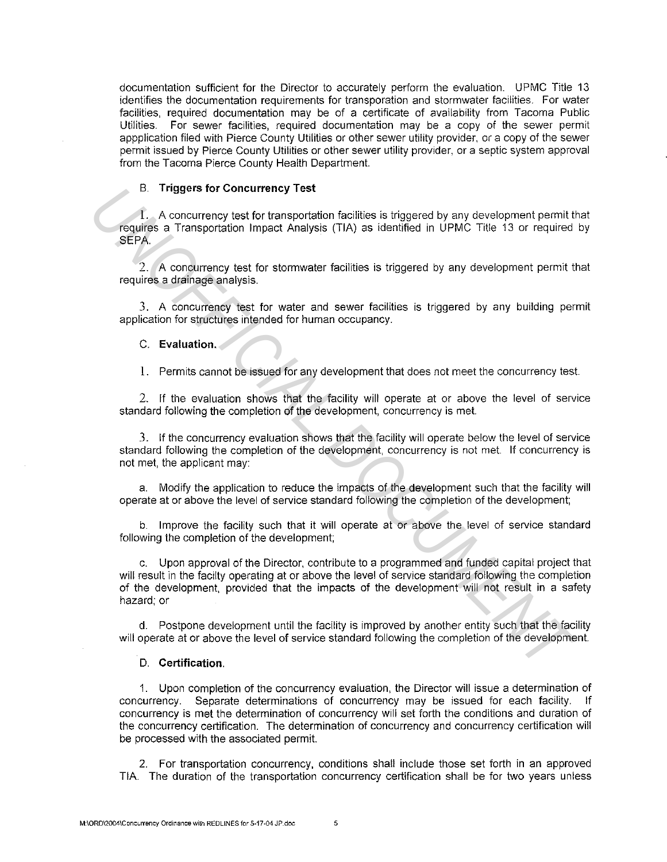documentation sufficient for the Director to accurately perform the evaluation. UPMC Title 13 identifies the documentation requirements for transporation and stormwater facilities. For water facilities, required documentation may be of a certificate of availability from Tacoma Public Utilities. For sewer facilities, required documentation may be a copy of the sewer permit appplication filed with Pierce County Utilities or other sewer utility provider, or a copy of the sewer permit issued by Pierce County Utilities or other sewer utility provider, or a septic system approval from the Tacoma Pierce County Health Department.

## B. **Triggers for Concurrency Test**

**1.** A concurrency test for transportation facilities is triggered by any development permit that requires a Transportation Impact Analysis (TIA) as identified in UPMC Title 13 or required by SEPA.

2. A concurrency test for stormwater facilities is triggered by any development permit that requires a drainage analysis.

3. A concurrency test for water and sewer facilities is triggered by any building permit application for structures intended for human occupancy.

## C. **Evaluation.**

**1.** Permits cannot be issued for any development that does not meet the concurrency test.

2. If the evaluation shows that the facility will operate at or above the level of service standard following the completion of the development, concurrency is met.

3. If the concurrency evaluation shows that the facility will operate below the level of service standard following the completion of the development, concurrency is not met. If concurrency is not met, the applicant may:

a. Modify the application to reduce the impacts of the development such that the facility will operate at or above the level of service standard following the completion of the development;

b. Improve the facility such that it will operate at or above the level of service standard following the completion of the development;

c. Upon approval of the Director, contribute to a programmed and funded capital project that will result in the facilty operating at or above the level of service standard following the completion of the development, provided that the impacts of the development will not result in a safety hazard; or UNITED THIS CONDUCTED THEST CONDUCTER CONDUCTER THEST CONDUCTER THEST CONDUCTER CONDUCTER CHANNEL DREAM THEST CAN AND A SIGNATURE 10 OF THE 13 or required SEPA.<br>
2. A conduction lineact Analysis (TIA) as identified in UPM

d. Postpone development until the facility is improved by another entity such that the facility will operate at or above the level of service standard following the completion of the development.

### D. **Certification.**

1. Upon completion of the concurrency evaluation, the Director will issue a determination of concurrency. Separate determinations of concurrency may be issued for each facility. If concurrency is met the determination of concurrency will set forth the conditions and duration of the concurrency certification. The determination of concurrency and concurrency certification will be processed with the associated permit.

2. For transportation concurrency, conditions shall include those set forth in an approved TIA. The duration of the transportation concurrency certification shall be for two years unless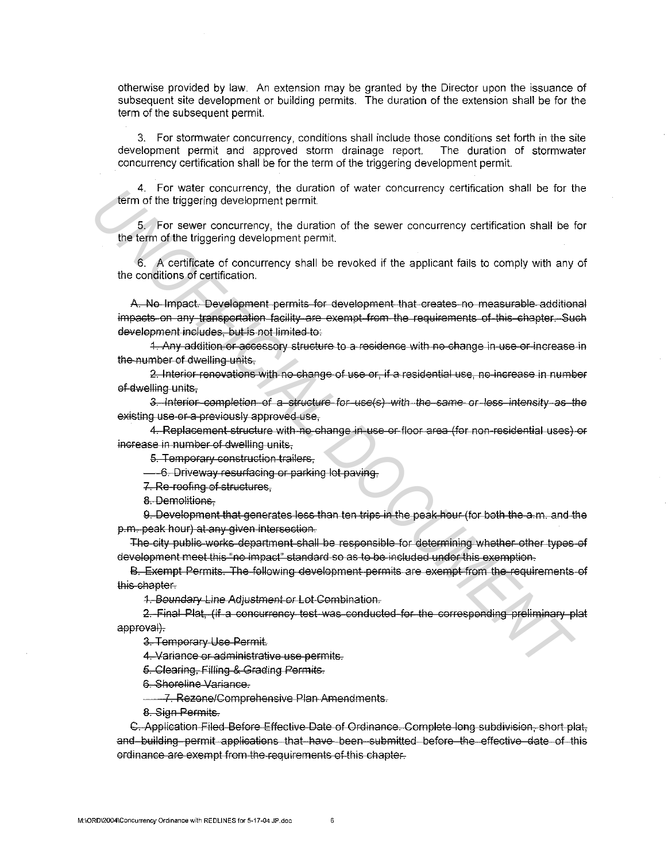otherwise provided by law. An extension may be granted by the Director upon the issuance of subsequent site development or building permits. The duration of the extension shall be for the term of the subsequent permit.

3. For stormwater concurrency, conditions shall include those conditions set forth in the site development permit and approved storm drainage report. The duration of stormwater concurrency certification shall be for the term of the triggering development permit.

4. For water concurrency, the duration of water concurrency certification shall be for the term of the triggering development permit.

5. For sewer concurrency, the duration of the sewer concurrency certification shall be for the term of the triggering development permit.

6. A certificate of concurrency shall be revoked if the applicant fails to comply with any of the conditions of certification.

A. No Impact. Development permits for development that creates no measurable additional impacts on any transportation facility are exempt from the requirements of this chapter. Such deYelopment includes, but is not limited to: 4. For water concurrency, the duration of water concurrency certaination shall be term of the triggering development permit.<br>
5. For sever concurrency, the duration of the sever concurrency certification shall be the infla

1. Any addition or accessory structure to a residence with no change in use or increase in the number of dwelling units,

2. Interior renovations with no change of use or, if a residential use, no increase in number of dwelling units,

3. Interior completion of a structure for use(s) with the same or less intensity as the existing use or a previously approved use,

4. Replacement structure with no change in use or floor area (for non-residential uses) or increase in number of dwelling units.

5. Temporary construction trailers,

 $-6$ . Driveway resurfacing or parking lot paving,

7. Re roofing of structures,

g\_ Demolitions,

9. Development that generates less than ten trips in the peak hour (for both the a.m. and the p.m. peal< hour) at any given intersection.

The city public works department shall be responsible for determining whether other types of development meet this "no impact" standard so as to be included under this exemption.

B. Exempt Permits. The following development permits are exempt from the requirements of this chapter.

1. Boundary Line Adjustment or Lot Combination.

2. Final Plat, (if a concurrency test was conducted for the corresponding preliminary plat approval).

3. Temporary Use Permit.

4. Variance or administrative use permits.

5. Clearing, Filling & Grading Permits.

5. Shoreline Variance.

7. Rezone/Comprehensive Plan Amendments.

8. Sign Permits.

C. Application Filed Before Effective Date of Ordinance. Complete long subdivision, short plat, and building permit applications that have been submitted before the effective date of this ordinance are exempt from the requirements of this chapter.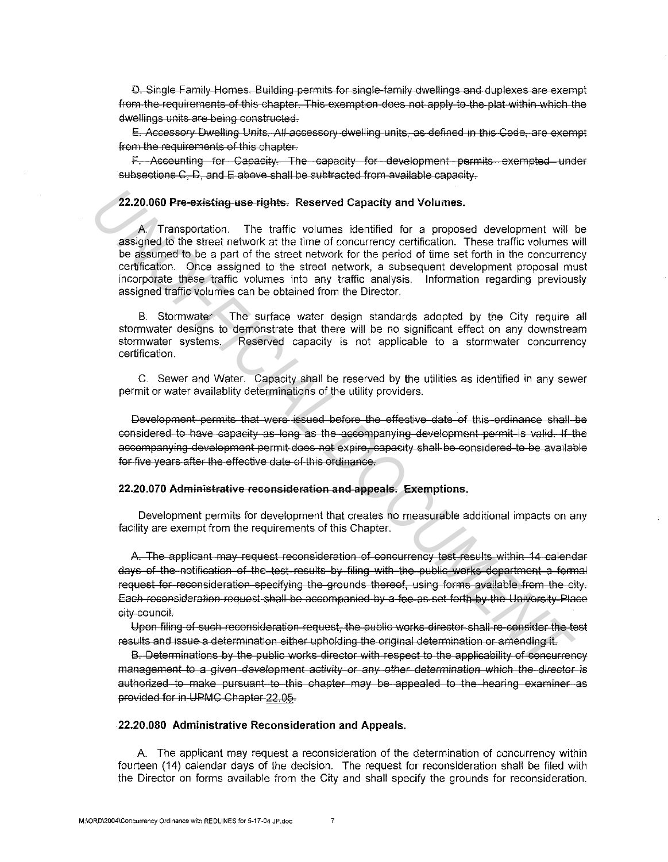D. Single Family Homes. Building permits for single-family dwellings and duplexes are exempt from the requirements of this chapter. This exemption does not apply to the plat within which the dwellings units are being constructed.

E. Accessory Dwelling Units. All accessory dwelling units, as defined in this Code, are exempt from the requirements of this chapter.

F. Accounting for Capacity. The capacity for development permits exempted under subsections C. D. and E-above shall be subtracted from available capacity.

# 22.20.060 Pre-existing-use-rights. Reserved Capacity and Volumes.

A. Transportation. The traffic volumes identified for a proposed development will be assigned to the street network at the time of concurrency certification. These traffic volumes will be assumed to be a part of the street network for the period of time set forth in the concurrency certification. Once assigned to the street network, a subsequent development proposal must incorporate these traffic volumes into any traffic analysis. Information regarding previously assigned traffic volumes can be obtained from the Director.

B. Stormwater. The surface water design standards adopted by the City require all stormwater designs to demonstrate that there will be no significant effect on any downstream stormwater systems. Reserved capacity is not applicable to a stormwater concurrency certification.

C. Sewer and Water. Capacity shall be reserved by the utilities as identified in any sewer permit or water availablity determinations of the utility providers.

Development permits that were issued before the effective date of this ordinance shall be considered to have capacity as long as the accompanying development permit is valid. If the accompanying development permit does not expire, capacity shall be considered to be available for five years after the effective date of this ordinance.

## 22.20.070 Administrative reconsideration and appeals. Exemptions.

Development permits for development that creates no measurable additional impacts on any facility are exempt from the requirements of this Chapter.

A. The applicant may request reconsideration of concurrency test results within 14 calendar days of the notification of the test results by filing with the public works department a formal request for reconsideration specifying the grounds thereof, using forms available from the city. Each reconsideration request shall be accompanied by a fee as set forth by the University Place city-council.

Upon filing of such reconsideration request, the public works director shall re-consider the test results and issue a determination either upholding the original determination or amending it.

B. Determinations by the public works director with respect to the applicability of concurrency management to a given development activity or any other determination which the director is authorized to make pursuant to this chapter may be appealed to the hearing examiner as provided for in UPMC Chapter 22.05.

# 22.20.080 Administrative Reconsideration and Appeals.

A. The applicant may request a reconsideration of the determination of concurrency within fourteen (14) calendar days of the decision. The request for reconsideration shall be filed with the Director on forms available from the City and shall specify the grounds for reconsideration.